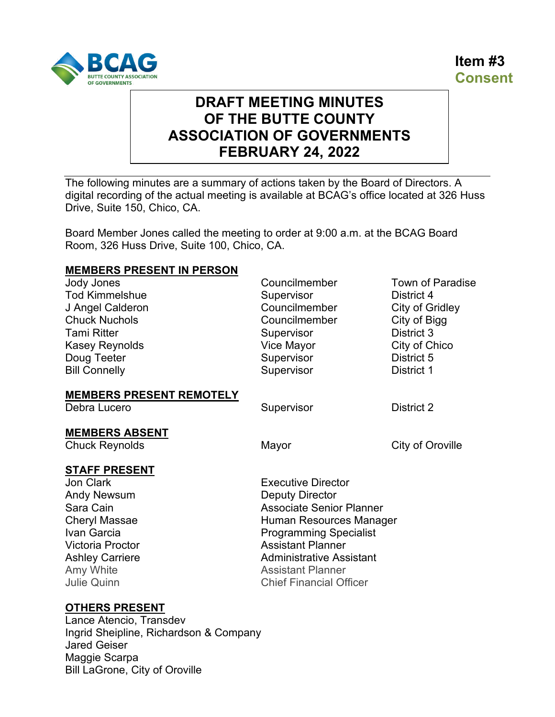



# **DRAFT MEETING MINUTES OF THE BUTTE COUNTY ASSOCIATION OF GOVERNMENTS FEBRUARY 24, 2022**

The following minutes are a summary of actions taken by the Board of Directors. A digital recording of the actual meeting is available at BCAG's office located at 326 Huss Drive, Suite 150, Chico, CA.

Board Member Jones called the meeting to order at 9:00 a.m. at the BCAG Board Room, 326 Huss Drive, Suite 100, Chico, CA.

#### **MEMBERS PRESENT IN PERSON**

| <b>Jody Jones</b><br><b>Tod Kimmelshue</b><br>J Angel Calderon<br><b>Chuck Nuchols</b><br><b>Tami Ritter</b><br>Kasey Reynolds<br>Doug Teeter<br><b>Bill Connelly</b>                                      | Councilmember<br>Supervisor<br>Councilmember<br>Councilmember<br>Supervisor<br>Vice Mayor<br>Supervisor<br>Supervisor                                                                                                                                                           | Town of Paradise<br>District 4<br>City of Gridley<br>City of Bigg<br>District 3<br>City of Chico<br>District 5<br>District 1 |
|------------------------------------------------------------------------------------------------------------------------------------------------------------------------------------------------------------|---------------------------------------------------------------------------------------------------------------------------------------------------------------------------------------------------------------------------------------------------------------------------------|------------------------------------------------------------------------------------------------------------------------------|
| <b>MEMBERS PRESENT REMOTELY</b><br>Debra Lucero                                                                                                                                                            | Supervisor                                                                                                                                                                                                                                                                      | District 2                                                                                                                   |
| <b>MEMBERS ABSENT</b><br><b>Chuck Reynolds</b>                                                                                                                                                             | Mayor                                                                                                                                                                                                                                                                           | City of Oroville                                                                                                             |
| <b>STAFF PRESENT</b><br><b>Jon Clark</b><br><b>Andy Newsum</b><br>Sara Cain<br><b>Cheryl Massae</b><br>Ivan Garcia<br><b>Victoria Proctor</b><br><b>Ashley Carriere</b><br>Amy White<br><b>Julie Quinn</b> | <b>Executive Director</b><br><b>Deputy Director</b><br><b>Associate Senior Planner</b><br>Human Resources Manager<br><b>Programming Specialist</b><br><b>Assistant Planner</b><br><b>Administrative Assistant</b><br><b>Assistant Planner</b><br><b>Chief Financial Officer</b> |                                                                                                                              |

#### **OTHERS PRESENT**

Lance Atencio, Transdev Ingrid Sheipline, Richardson & Company Jared Geiser Maggie Scarpa Bill LaGrone, City of Oroville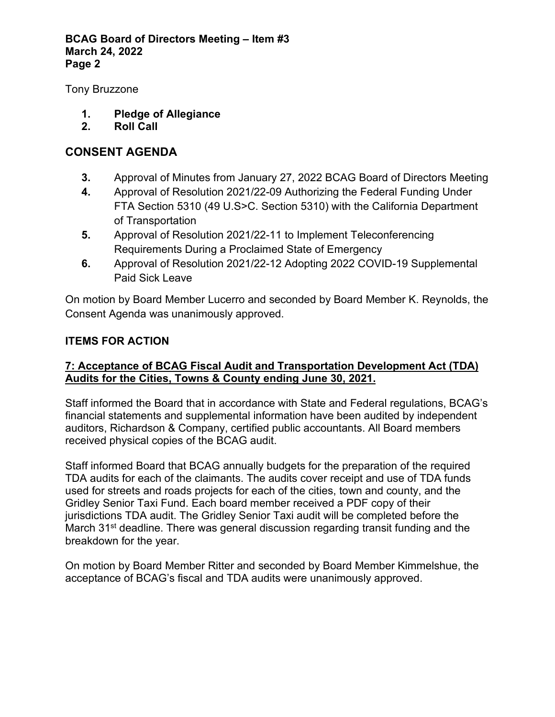#### **BCAG Board of Directors Meeting – Item #3 March 24, 2022 Page 2**

Tony Bruzzone

- **1. Pledge of Allegiance**
- **2. Roll Call**

# **CONSENT AGENDA**

- **3.** Approval of Minutes from January 27, 2022 BCAG Board of Directors Meeting
- **4.** Approval of Resolution 2021/22-09 Authorizing the Federal Funding Under FTA Section 5310 (49 U.S>C. Section 5310) with the California Department of Transportation
- **5.** Approval of Resolution 2021/22-11 to Implement Teleconferencing Requirements During a Proclaimed State of Emergency
- **6.** Approval of Resolution 2021/22-12 Adopting 2022 COVID-19 Supplemental Paid Sick Leave

On motion by Board Member Lucerro and seconded by Board Member K. Reynolds, the Consent Agenda was unanimously approved.

# **ITEMS FOR ACTION**

# **7: Acceptance of BCAG Fiscal Audit and Transportation Development Act (TDA) Audits for the Cities, Towns & County ending June 30, 2021.**

Staff informed the Board that in accordance with State and Federal regulations, BCAG's financial statements and supplemental information have been audited by independent auditors, Richardson & Company, certified public accountants. All Board members received physical copies of the BCAG audit.

Staff informed Board that BCAG annually budgets for the preparation of the required TDA audits for each of the claimants. The audits cover receipt and use of TDA funds used for streets and roads projects for each of the cities, town and county, and the Gridley Senior Taxi Fund. Each board member received a PDF copy of their jurisdictions TDA audit. The Gridley Senior Taxi audit will be completed before the March 31<sup>st</sup> deadline. There was general discussion regarding transit funding and the breakdown for the year.

On motion by Board Member Ritter and seconded by Board Member Kimmelshue, the acceptance of BCAG's fiscal and TDA audits were unanimously approved.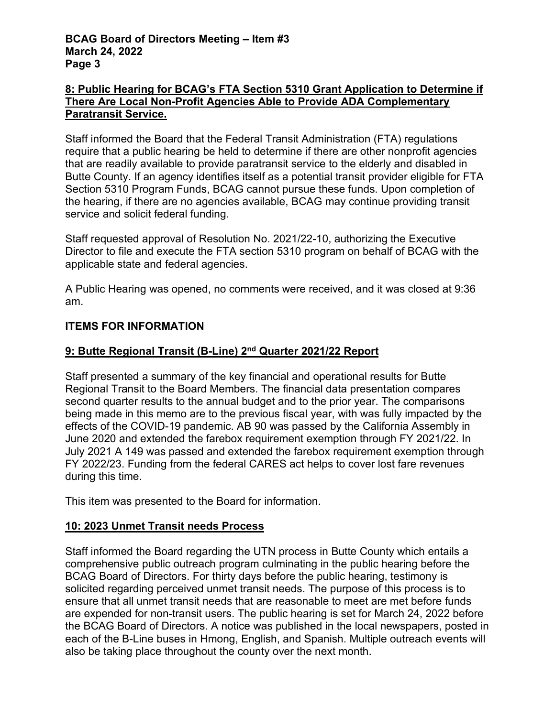### **8: Public Hearing for BCAG's FTA Section 5310 Grant Application to Determine if There Are Local Non-Profit Agencies Able to Provide ADA Complementary Paratransit Service.**

Staff informed the Board that the Federal Transit Administration (FTA) regulations require that a public hearing be held to determine if there are other nonprofit agencies that are readily available to provide paratransit service to the elderly and disabled in Butte County. If an agency identifies itself as a potential transit provider eligible for FTA Section 5310 Program Funds, BCAG cannot pursue these funds. Upon completion of the hearing, if there are no agencies available, BCAG may continue providing transit service and solicit federal funding.

Staff requested approval of Resolution No. 2021/22-10, authorizing the Executive Director to file and execute the FTA section 5310 program on behalf of BCAG with the applicable state and federal agencies.

A Public Hearing was opened, no comments were received, and it was closed at 9:36 am.

# **ITEMS FOR INFORMATION**

## **9: Butte Regional Transit (B-Line) 2nd Quarter 2021/22 Report**

Staff presented a summary of the key financial and operational results for Butte Regional Transit to the Board Members. The financial data presentation compares second quarter results to the annual budget and to the prior year. The comparisons being made in this memo are to the previous fiscal year, with was fully impacted by the effects of the COVID-19 pandemic. AB 90 was passed by the California Assembly in June 2020 and extended the farebox requirement exemption through FY 2021/22. In July 2021 A 149 was passed and extended the farebox requirement exemption through FY 2022/23. Funding from the federal CARES act helps to cover lost fare revenues during this time.

This item was presented to the Board for information.

#### **10: 2023 Unmet Transit needs Process**

Staff informed the Board regarding the UTN process in Butte County which entails a comprehensive public outreach program culminating in the public hearing before the BCAG Board of Directors. For thirty days before the public hearing, testimony is solicited regarding perceived unmet transit needs. The purpose of this process is to ensure that all unmet transit needs that are reasonable to meet are met before funds are expended for non-transit users. The public hearing is set for March 24, 2022 before the BCAG Board of Directors. A notice was published in the local newspapers, posted in each of the B-Line buses in Hmong, English, and Spanish. Multiple outreach events will also be taking place throughout the county over the next month.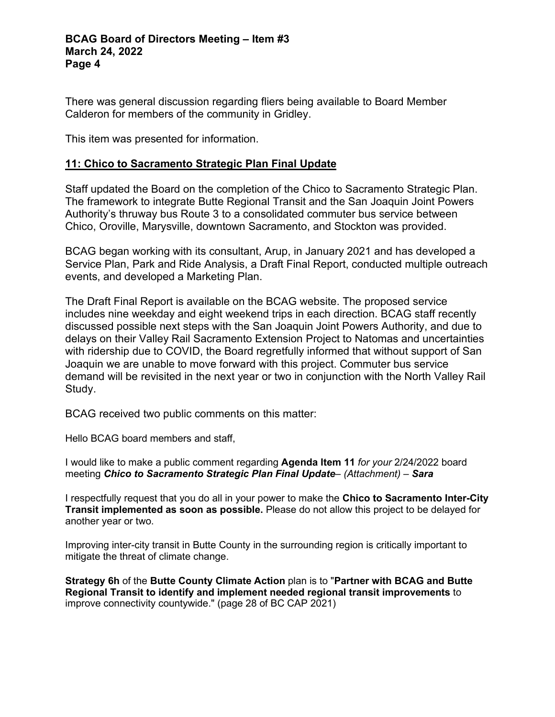There was general discussion regarding fliers being available to Board Member Calderon for members of the community in Gridley.

This item was presented for information.

#### **11: Chico to Sacramento Strategic Plan Final Update**

Staff updated the Board on the completion of the Chico to Sacramento Strategic Plan. The framework to integrate Butte Regional Transit and the San Joaquin Joint Powers Authority's thruway bus Route 3 to a consolidated commuter bus service between Chico, Oroville, Marysville, downtown Sacramento, and Stockton was provided.

BCAG began working with its consultant, Arup, in January 2021 and has developed a Service Plan, Park and Ride Analysis, a Draft Final Report, conducted multiple outreach events, and developed a Marketing Plan.

The Draft Final Report is available on the BCAG website. The proposed service includes nine weekday and eight weekend trips in each direction. BCAG staff recently discussed possible next steps with the San Joaquin Joint Powers Authority, and due to delays on their Valley Rail Sacramento Extension Project to Natomas and uncertainties with ridership due to COVID, the Board regretfully informed that without support of San Joaquin we are unable to move forward with this project. Commuter bus service demand will be revisited in the next year or two in conjunction with the North Valley Rail Study.

BCAG received two public comments on this matter:

Hello BCAG board members and staff,

I would like to make a public comment regarding **Agenda Item 11** *for your* 2/24/2022 board meeting *Chico to Sacramento Strategic Plan Final Update– (Attachment) – Sara*

I respectfully request that you do all in your power to make the **Chico to Sacramento Inter-City Transit implemented as soon as possible.** Please do not allow this project to be delayed for another year or two.

Improving inter-city transit in Butte County in the surrounding region is critically important to mitigate the threat of climate change.

**Strategy 6h** of the **Butte County Climate Action** plan is to "**Partner with BCAG and Butte Regional Transit to identify and implement needed regional transit improvements** to improve connectivity countywide." (page 28 of BC CAP 2021)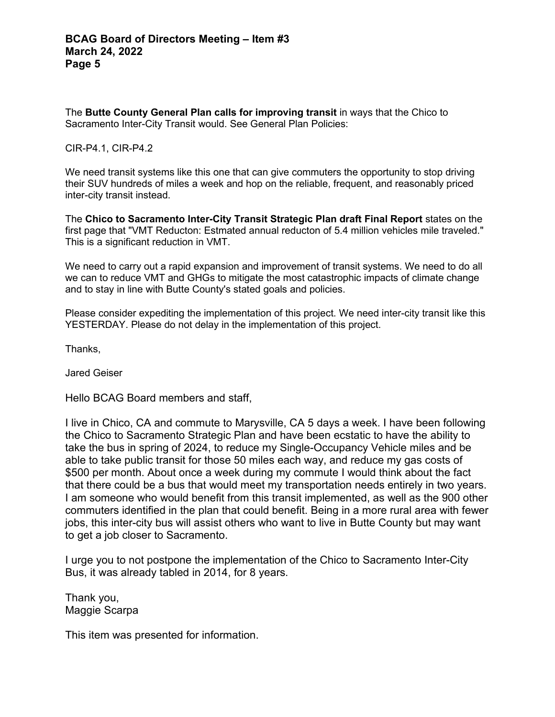The **Butte County General Plan calls for improving transit** in ways that the Chico to Sacramento Inter-City Transit would. See General Plan Policies:

#### CIR-P4.1, CIR-P4.2

We need transit systems like this one that can give commuters the opportunity to stop driving their SUV hundreds of miles a week and hop on the reliable, frequent, and reasonably priced inter-city transit instead.

The **Chico to Sacramento Inter-City Transit Strategic Plan draft Final Report** states on the first page that "VMT Reducton: Estmated annual reducton of 5.4 million vehicles mile traveled." This is a significant reduction in VMT.

We need to carry out a rapid expansion and improvement of transit systems. We need to do all we can to reduce VMT and GHGs to mitigate the most catastrophic impacts of climate change and to stay in line with Butte County's stated goals and policies.

Please consider expediting the implementation of this project. We need inter-city transit like this YESTERDAY. Please do not delay in the implementation of this project.

Thanks,

Jared Geiser

Hello BCAG Board members and staff,

I live in Chico, CA and commute to Marysville, CA 5 days a week. I have been following the Chico to Sacramento Strategic Plan and have been ecstatic to have the ability to take the bus in spring of 2024, to reduce my Single-Occupancy Vehicle miles and be able to take public transit for those 50 miles each way, and reduce my gas costs of \$500 per month. About once a week during my commute I would think about the fact that there could be a bus that would meet my transportation needs entirely in two years. I am someone who would benefit from this transit implemented, as well as the 900 other commuters identified in the plan that could benefit. Being in a more rural area with fewer jobs, this inter-city bus will assist others who want to live in Butte County but may want to get a job closer to Sacramento.

I urge you to not postpone the implementation of the Chico to Sacramento Inter-City Bus, it was already tabled in 2014, for 8 years.

Thank you, Maggie Scarpa

This item was presented for information.